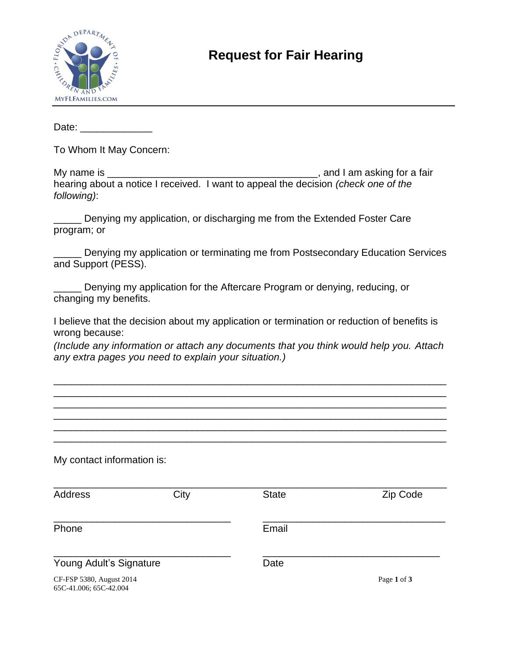

## **Request for Fair Hearing**

Date: \_\_\_\_\_\_\_\_\_\_\_\_\_

To Whom It May Concern:

| My name is  | , and I am asking for a fair                                                              |
|-------------|-------------------------------------------------------------------------------------------|
|             | hearing about a notice I received. I want to appeal the decision <i>(check one of the</i> |
| following): |                                                                                           |

\_\_\_\_\_ Denying my application, or discharging me from the Extended Foster Care program; or

\_\_\_\_\_ Denying my application or terminating me from Postsecondary Education Services and Support (PESS).

Denying my application for the Aftercare Program or denying, reducing, or changing my benefits.

I believe that the decision about my application or termination or reduction of benefits is wrong because:

*(Include any information or attach any documents that you think would help you. Attach any extra pages you need to explain your situation.)*

\_\_\_\_\_\_\_\_\_\_\_\_\_\_\_\_\_\_\_\_\_\_\_\_\_\_\_\_\_\_\_\_\_\_\_\_\_\_\_\_\_\_\_\_\_\_\_\_\_\_\_\_\_\_\_\_\_\_\_\_\_\_\_\_\_\_\_\_\_\_\_ \_\_\_\_\_\_\_\_\_\_\_\_\_\_\_\_\_\_\_\_\_\_\_\_\_\_\_\_\_\_\_\_\_\_\_\_\_\_\_\_\_\_\_\_\_\_\_\_\_\_\_\_\_\_\_\_\_\_\_\_\_\_\_\_\_\_\_\_\_\_\_ \_\_\_\_\_\_\_\_\_\_\_\_\_\_\_\_\_\_\_\_\_\_\_\_\_\_\_\_\_\_\_\_\_\_\_\_\_\_\_\_\_\_\_\_\_\_\_\_\_\_\_\_\_\_\_\_\_\_\_\_\_\_\_\_\_\_\_\_\_\_\_ \_\_\_\_\_\_\_\_\_\_\_\_\_\_\_\_\_\_\_\_\_\_\_\_\_\_\_\_\_\_\_\_\_\_\_\_\_\_\_\_\_\_\_\_\_\_\_\_\_\_\_\_\_\_\_\_\_\_\_\_\_\_\_\_\_\_\_\_\_\_\_ \_\_\_\_\_\_\_\_\_\_\_\_\_\_\_\_\_\_\_\_\_\_\_\_\_\_\_\_\_\_\_\_\_\_\_\_\_\_\_\_\_\_\_\_\_\_\_\_\_\_\_\_\_\_\_\_\_\_\_\_\_\_\_\_\_\_\_\_\_\_\_ \_\_\_\_\_\_\_\_\_\_\_\_\_\_\_\_\_\_\_\_\_\_\_\_\_\_\_\_\_\_\_\_\_\_\_\_\_\_\_\_\_\_\_\_\_\_\_\_\_\_\_\_\_\_\_\_\_\_\_\_\_\_\_\_\_\_\_\_\_\_\_

My contact information is:

| Address                                            | City | <b>State</b> | Zip Code    |
|----------------------------------------------------|------|--------------|-------------|
| Phone                                              |      | Email        |             |
| Young Adult's Signature                            |      | Date         |             |
| CF-FSP 5380, August 2014<br>65C-41.006: 65C-42.004 |      |              | Page 1 of 3 |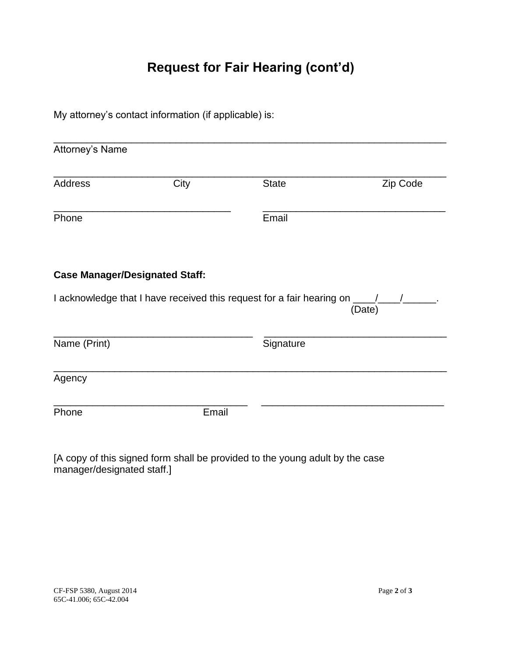## **Request for Fair Hearing (cont'd)**

My attorney's contact information (if applicable) is:

| Attorney's Name                                                 |      |                                                                             |          |
|-----------------------------------------------------------------|------|-----------------------------------------------------------------------------|----------|
| <b>Address</b>                                                  | City | <b>State</b>                                                                | Zip Code |
| Phone                                                           |      | Email                                                                       |          |
|                                                                 |      |                                                                             |          |
|                                                                 |      |                                                                             |          |
|                                                                 |      | I acknowledge that I have received this request for a fair hearing on ____/ | (Date)   |
|                                                                 |      | Signature                                                                   |          |
| <b>Case Manager/Designated Staff:</b><br>Name (Print)<br>Agency |      |                                                                             |          |

[A copy of this signed form shall be provided to the young adult by the case manager/designated staff.]